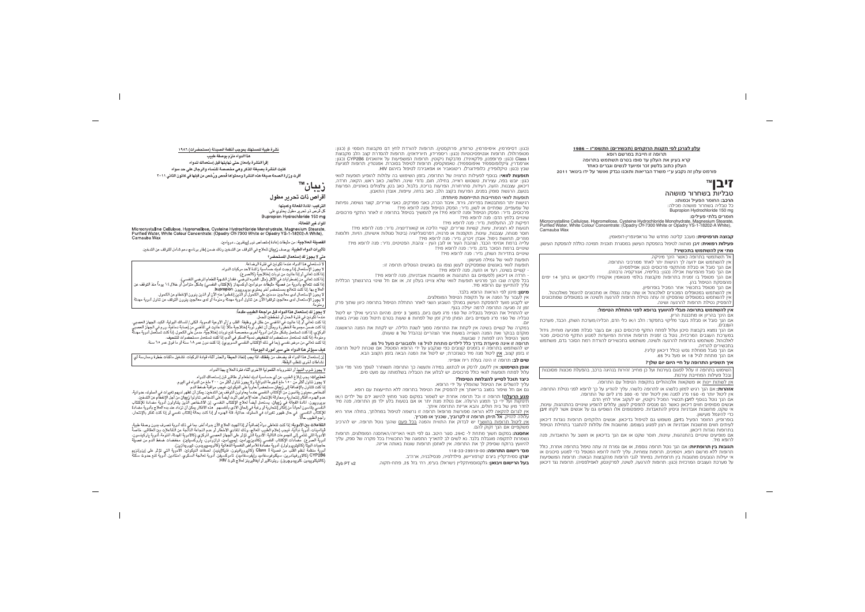#### עלון לצרכן לפי תקנות הרוקחים (תכשירים) התשמ״ו – 1986

תרופה זו חייבת במרשם רופא קרא בעיון את העלון עד סופו בטרם תשתמש בתרופה העלון כתוב בלשון זכר ומיועד לנשים וגברים כאחד פורמט עלון זה נקבע ע״י משרד הבריאות ותוכנו נבדק ואושר על ידו בינואר 2011

# זיבו™

# טבליות בשחרור מושהה

הרכב: החומר הפעיל וכמותו: כל טבליה בשחרור מושהה מכילה:

Bupropion Hydrochloride 150 mg

#### חומרים בלתי פעילים:

Microcrystalline Cellulose, Hypromellose, Cysteine Hydrochloride Monohydrate, Magnesium Stearate, Purified Water, White Colour Concentrate: (Opadry OY-7300 White or Opadry YS-1-18202-A White), Carnauha Wax

קבוצה תרפויטית: מעכב קליטה מחדש של נוראפינפרין-דופאמין.

**פעילות רפואית: זיב**ן מותווה לטיפול בהפסקת העישון במסגרת תוכנית תמיכה כוללת להפסקת העישון. מתי אין להשתמש בתכשיר?

.<br>אל תשתמשי בתרופה כאשר הינר מיניקה. אין להשתמש אם ידועה לך רגישות יתר לאחד ממרכיבי התרופה.

אם הנר סובל או סבלת מהתקפי פרכוסים (כגוו אפילפסיה).

אם הנר סובל מהפרעות אכילה (כגוו: בולימיה, אנורקסיה נרבוזה).

אם הנך מטופל בו זמנית בתרופות מקבוצת בולמי מונואמין אוקסידז (לדיכאון) או בתוך 14 ימים מהפסקת הטיפול בהו.

אם הנר מטופל בתכשיר אחר המכיל בופרופיוו.

אין להשתמש במטופלים המכורים לאלכוהול או שזה עתה נגמלו או מתכוונים להיגמל מאלכוהול. איו להשתמש במטופלים שהפסיקו זה עתה נטילת תרופות להרגעה ולשינה או במטופלים שמתכוונים להפסיק נטילת תרופות להרגעה ושינה.

#### אין להשתמש בתרופה מבלי להיוועץ ברופא לפני התחלת הטיפול:

אם הינר בהריוו או מתכננת הריוו.

אם הור סובל או סבלת בעבר מליקוי בתפקוד: הלב ו/או כלי הדם. הכליה/מערכת השתו. הכבד. מערכת העצבים.

אם הנר נמצא בקבוצת סיכוו ועלול לפתח התקף פרכוסים כגוו: אם בעבר סבלת מפגיעה מוחית. גידול במערכת העצבים המרכזית, נוטל בו זמנית תרופות אחרות המיועדות למנוע התקף פרכוסים, מכור לאלכוהול, משתמש בתרופות להרגעה ולשינה, משתמש בתכשירים להורדת רמת הסוכר בדם, משתמש רתכושירים להרזיה

אם הנר סובל ממחלת נפש (כולל דיכאוו קליני).

אם הנר מתחת לגיל 18 או מעל גיל 65.

#### איר תשפיע התרופה על חיי היום יום שלר?

השימוש בתרופה זו עלול לפגום בעירנות ועל כן מחייב זהירות בנהיגה ברכב, בהפעלת מכונות מסוכנות ובכל פעילות המחייבת עירנות.

אין לשתות יינות או משקאות אלכוהוליים בתקופת הטיפול עם התרופה.

**אזהרות:** אם הנר רגיש למזוו כלשהו או לתרופה כלשהי. עליר להודיע על כר לרופא לפני נטילת התרופה. איו ליטול יותר מ- 150 מ״ג למנה ואיו ליטול יותר מ- 300 מ״ג ליום של התרופה.

אם הנך נוטל בנוסף ל**זיבן** תכשיר המכיל ניקוטין, יש לעקוב אחר לחץ הדם.

אנשים מסוימים חווים דיכאוו כאשר הם מנסים להפסיק לעשו: עלולים להופיע שינויים בהתנהגות. עוינות. אי שקט, מחשבות אובדניות וניסיון להתאבדות. סימפטומים אלו השפיעו גם על אנשים אשר לקחו **זיבן** כדי להיגמל מעישון.

בופרופיוו. החומר הפעיל ב**זיבו**. משמש גם לטיפול בדיכאוו. אנשים הלוקחים תרופות נוגדות דיכאוו לעיתים חווים מחשבות אורדניות או רצוו לפגוע בעצמם. מחשבות אלו עלולות להתגבר בתחילת הטיפול בתרופות נוגדות דיכאון.

אם מופיעים שינויים בהתנהגות, עוינות, חוסר שקט או אם הנך בדיכאון או חושב על התאבדות, פנה לרוחא מיד

**תגובות ביו תרופתיות:** אם הנר נוטל תרופה נוספת. או אם גמרת זה עתה טיפול בתרופה אחרת. כולל תרופות ללא מרשם רופא, ויטמינים, תרופות צמחיות, עליך לדווח לרופא המטפל כדי למנוע סיכונים או אי יעילות הנורעים מתגובות ביו תרופתיות. במיוחד לגבי תרופות מהקרוצות הבאות: תרופות המשפיעות על מערכת העצבים המרכזית (כגוו: תרופות להרגעה. לשינה. לפרקינסוו, לאפילפסיה). תרופות נגד דיכאוו

(כגון: דסיפרמין, אימיפרמין, טרזודון, פרוקסטין). תרופות להורדת לחץ דם מקבוצת חוסמי β (כגון: מטופרולול). תרופות אנטיפסיכוטיות (כגון: ריספרידון, תיורידאזין). תרופות להסדרת קצב הלב מקבוצת Class (כגון: פרופפנון, פלקאיניד). מדבקות ניקוטין. תרופות המשפיעות על איזואנזים CYP2B6 (כגון: אורפנדריו. ציקלופוספמיד ואיפוספמיד). טאמוקסיפו. תרופות לטיפול רסוכרת. אמנטדיו. תרופות למניעת שבץ (כגון: טיקלופידין, כלופידוגרל). ריטונאביר או אפאבירנז לטיפול בזיהום HIV.

**תופעות לוואי:** בנוסף לפעילות הרצויה של התרופה, בזמן השימוש בה עלולות להופיע תופעות לוואי כגוו. יורש רפה, עצירות, טשטוש ראייה, בחילה, חום, נדודי שינה, חולשה, כאב ראש, הקאה, חרדה, דיכאוו. עצבנות. הזעה, רעידות, סחרחורת, הפרעות בריכוז, בלבול, כאב בטו, צלצולים באוזניים, הפרעות בטעם, הרגשת סומק בפנים, הפרעות בקצב הלב, כאב בחזה, עייפות. אובדו התאבוו.

#### תופעות לוואי המחייבות התייחסות מיוחדת:

רגישות יתר המתבטאת בפריחה, גירוד, איבוד הכרה, כאבי מפרקים, כאבי שרירים, קוצר נשימה, נפיחות של עפעפיים. שפתיים או לשוו. נדיר: הפסק הטיפול ופנה לרופא מיד! פרכוסים, נדיר: הפסק הטיפול ופנה לרופא מיד! אין להמשיך בטיפול בתרופה זו לאחר התקף פרכוסים. שינויים בלחץ הדם: פנה לרופא מיד!

דפיקות לב. התעלפות. נדיר: פנה לרופא מיד!

.<br>תנועות לא רצוניות, עיוות, קשיות שרירים, קשיי הליכה או קואורדינציה, נדיר: פנה לרופא מיד! חוסר מנוחה, עצבנות, עוינות, תוקפנות או פרנויה, דפרסונליזציה (ביטול סגולות אישיות), הזיות, חלומות מוזרים. תחושת נימול. אובדו זיכרוו. נדיר: פנה לרופא מיד!

עלייה ברמת אנזימי הכבד. הצהבת העור או לובו העיו - צהבת. הפטיטים. נדיר: פנה לרופא מיד! שינויים ברמת הסוכר בדם, נדיר: פנה לרופא מיד! שינויים בתדירות השתן, נדיר: פנה לרופא מיד!

תופעות לוואי של גמילה מעישון: תופעות לוואי באנשים שמפסיקים לעשו נצפו גם באנשים הנוטלים תרופה זו:

קשיים בשינה, רעד או הזעה, פנה לרופא מיד!

· חרדה או דיכאוו (לפעמים גם התנהגות או מחשבות אובדניות). פנה לרופא מיד! רכל מקרה שבו הנר מרגיש תופעות לוואי שלא צויינו בעלוו זה. או אם חל שינוי בהרגשתר הכללית עליך להתייעץ עם הרופא מיד.

**מינוו:** מינוו לפי הוראות הרופא בלבד.

אין לעבור על המנה או על תקופת הטיפול המומלצים.

יש לקבוע מועד להפסקת העישון במהלך השבוע השני לאחר התחלת הטיפול בתרופה כיוון שתוך פרק זמו זה מגיעה התרופה לרמה יעילה בגופ.

יש להתחיל את הטיפול בטבליה של 150 מ״ג פעם ביום, במשך 3 ימים. מהיום הרביעי ואילך יש ליטול טבליה של 150 מ״ג פעמיים ביום. המתן פרק זמן של לפחות 8 שעות בטרם תיטול מנה שנייה באותו  $\Gamma$ 

במקרה של קשיים בשינה אין לקחת את התרופה סמוך לשנת הלילה. יש לקחת את המנה הראשונה מוקדם בבוקר ואת המנה השנייה בשעות אחר הצהריים (בהבדל של 8 שעות). משך הטיפול הינו לפחות 7 שבועות.

#### תרופה זו אינה מיועדת בדרך כלל לילדים מתחת לגיל 18 ולמבוגרים מעל גיל 65.

יש להשתמש בתרופה זו בזמנים קצובים כפי שנקבע על ידי הרופא המטפל. אם שכחת ליטול תרופה זו בזמן קצוב, <u>איו</u> ליטול מנה מיד כשנזכרת; יש ליטול את המנה הבאה בזמן הקצוב הבא.

**שים לב:** תרופה זו הינה בעלת ריח אופייני.

**אופן השימוש:** אין ללעוס, לרסק או לכתוש, במידה ותעשה כך התרופה תשוחרר לגופך מהר מדי והנך עלול לפתח תופעות לוואי כולל פרכוסים. יש לבלוע את הטבליה בשלמותה עם מעט מים.

#### כיצד תוכל לסייע להצלחת הטיפול?

עליך להשלים את הטיפול שהומלץ על ידי הרופא.

גם אם חל שיפור במצב בריאותך אין להפסיק את הטיפול בתרופה ללא התייעצות עם רופא.

**מנע הרעלה!** תרופה זו וכל תרופה אחרת יש לשמור במקום סגור מחוץ להישג ידם של ילדים ו/או תינוקות ועל ידי כך תמנע הרעלה. אם נטלת מנת יתר או אם בטעות בלע ילד מן התרופה, פנה מיד לחדר מיון של בית חולים, והבא אריזת התרופה איתך.

אין לגרום להקאה ללא הוראה מפורשת מרופא! תרופה זו נרשמה לטיפול במחלתך, בחולה אחר היא <u> עלולה להזיק. אל תיתן תרופה זו לקרוביך, שכניך או מכריך.</u>

<u>אין ליטול תרופות בחושך!</u> יש לבדוק את התווית והמנה בכל פעם שהנך נוטל תרופה. יש להרכיב משקפיים אם הנך זקוק להם.

**אחסנה:** במקום חשוך מתחת ל- 25ºC. סגור היטב. גם לפי תנאי האריזה/האחסנה המומלצים, תרופות נשמרות לתקופה מוגבלת בלבד. נא לשים לב לתאריך התפוגה של התכשיר! בכל מקרה של ספק, עליך להיוועץ ברוקח שסיפק לך את התרופה. אין לאחסן תרופות שונות באותה אריזה.

מס׳ רישום התרופה: 118-33-29919

**יצרן:** סמית׳קליין ביצ׳ם קורפוריישן, פילדלפיה, פנסילבניה, ארה״ב.

**בעל הרישום ויבואו:** גלקסוסמיתקלייו (ישראל) בע״מ. רח׳ בזל 25. פתח-תקוה.

نشرة طبية للمستهلك بموجب أنظمة الصيدلة (مستحضرات) ١٩٨٦ هذا الدو اء ملز ۾ ٻو صفة طبيب إقرأ النشرة بإمعان حتى نهايتها قبل إستعمالك للدواء كتبت النشرة بصيغة المذكر وهى مخصصة للنساء والرجال على حد سواء

أقرت وزارة الصحة صيغة هذه النشرة ومحتواها فُحص ورُخص من قبلها في كانون الثاني ٢٠١١

سان™

أقراص ذات تحرير مطول

التركب المادة الفعالة وكمبتها: کل قرص ذو تحریر مطوّل پحتوی علی: Bupropion Hydrochloride 150 mg

المواد غبر الفعالة:

Microcrystalline Cellulose, Hypromellose, Cysteine Hydrochloride Monohydrate, Magnesium Stearate, Purified Water, White Colour Concentrate: (Opadry OY-7300 White or Opadry YS-1-18202-A White), Carnauba Wax

ا**لفصيلة العلاجية:** من مثبطات إعادة إمتصاص نور إيينفرين ــ دويامين.

**تأثيرات الدواء الطبية:** يوصف **زيبان لل**علاج في التوقف عن التدخين وذلك ضمن إطار برنامج دعم شامل للتوقف عن التدخين.

### متى لا يجوز لك إستعمال المستحضر ؟

لا تستعملى هذا الدواء عندما تكونين في فترة الرضاعة. " يجوز الأستعمال إذا وحدت لديك حسَّاسية زائدة لأحد مر كتات الدواء. .<br>١ كنت تعانى أو إذا عانيت من نوبات إختلاجية (كالصر ع). ا كنت تعانيٌّ من إضطرابات في الأكل (مثل: الشَّره المرضَّى، فقدان الشهية للطعام المرضى النفسـ ا كنت تتعالَّج بأدوية من فصيلَّة مثبطات مونوامين أوكسيِّدار (للإكتئاب النفسي) بشكلٍّ متزامنٍّ أو خلال٤١ بوماً منذ التوقف عن لعلاج بها. إذا كنت تَتَعالجَ بمستَحضر آخر يحتوي بويروپيون bupropion. لا يجوز الإستعمال لدى معالجين مدمنين على الكحول أو الَّذَين إنفطموا عنه الآن أو الذين ينوون الإنفطام عن الكحول. يجوز الإستعمال لدى معالجين توقفوا الآن عن تناول أدوية مهدئة ومنومة أو لدى معالجين ينوون التوقف عن تناول أدوية مهدئة منه مة.

لا يجوز لك إستعمال هذا الدواء قبل مراجعة الطبيب مقدماً:

#### عندما تكونين في فترة الحمل أو تخططين للحمل.

إذا كنت تعاني أوٍّ إذا عانيت في الماضي من خللٌ في وظيفة: القلب و /أو الأوعية الدموية، الكلى/السالك البولية، الكبد، الجهاز العصبي. إِذا كنت ضمنٌ مجموعة الْخطورة ويمكِّن أنّ تطوّر نُوبة إِختلاجية مثّلاً: إذا عانيت في المّاضي من إصابة دماغية، ورم في الجهاز العصب .<br>الركزي، إذا كنت تستعمل بشكل مترامن أدوية أخرى مخصصة لذم نوبات إختلاجية، مدمن على الكحول، إذا كنت تستعمل أدوية مهدئة ومَنوَمَةً، إذا كنت تستعمل مستحضرات لتخفيض نسبة السكر في الدم، إذا كنت تستعمل مستحضّرات للتنحيف. إذا كنت تعانى من مرض نفسى (بما في ذلك الإكتئاب النفسي السّريري). إذا كنت دون عمر ١٨ سنة أو ما فوق عمر ٦٥ سنة.

# كنف سنؤثر هذا الدواء على سنر أمورك النومنة؟

Zvb PT v2

ن إستعمال هذا الدواء قد يضعف من يقظتك، لذا يجب إتخاذ الحيطة والحذر أثناء قيادة المركبات، تشغيل ماكنات خطرة وممارسة أي شاطات أخرى تتطلب المقظة.

لا يجوز شرب النبيذ أو المشروبات الكحولية الأخرى أثناء فترة العلاج بهذا الدواء.

تحذَّفرات: يجب إبلاغ الطبيب عن أي حساسية لديك لطعام أو عقاقير قبل إستعمالك للدواء. لا يجوِّرْ تناولْ أكثَّر من ٢٥٠ ملغ للجَّرعة الدوَّائِية ولا يجوزُ تناول أكثر من ٣٠٠ ملغ من الدواء في اليوم. إذا كنت تتناول بالإضافة إلى **زيبّان** مستحضراً حاوياً على النيكوتين، فيجب مراقبة ۖضغط الدم.

أشخاص معينون يقاسون من الإكتئاب النفسي عندما يحاولون التوقف عن التدخين; يمكن أن تظهر لديهم تغيرات في السلوك، عدوانية،

عدم الهدوء، أفكار إنتحارية ومحاولة للإنتحار. هذه الأعراض أثرت أيضاً على أشخاص تناولوا زيبان من أجل الإنفطام عن التدخين. بويروييون، المادة الفعِللّة في **زيبان**، يُستعمّل أيضاً لعلاج الإكتئاب النفسي. إن الأشخاص الّذين يتناولون أدوية مضادة للإكتئاب النفْسي يقاسون أحياناً من إفكار إنتحارية أو رغبة في إلحاق الأذى بأنفسهم. "هذه الأفكار يمكن أن تزداد عند بدء العلاج بأدوية مضادة للإكتئاب النفسي. في حال ظهور تغيرات في السلوك، عدائية، قلّة الهدوء أو إذا كنت بحالة إكتئاب نفسي أو إذا كنت تفكر بالإنتحار،

ا**لتفاعلات بن الأدوية:** إذا كنت تتعاطى دواءً إضافياً أو إذا أنهيت العلاج الآن بدواء آخر، بما في ذلك أدوية تصرف بدون وصفة طبية، ڤيتامينات، أُدوية نباتية، فيجب إعلام الطبيب العالج، وذلك لتفادي الأخطار أو عدم النجاعة الناتّجة عن التفاعلات بين العقاقير، خاصّةً الأدوية التي تنتمي إلى الجموعات التالية: آلأدوية الّتي تؤثر على الّجهاز العصبي المركزي (كالأدوية المّدئة، النوّمة، أدوية ياركينسون، أدوية الصرّع). مضادات الإكتئاب النفّسي (كالديزييّرامين، إيمييرامين، ترازودون، باروكُسيتين). مخفضات ضغط الدم من فصيلة حاجبات البيتاً (كالبتويرولول). أدوية مضاَّدةُ للأمراضُ النفسية الذمانية (كالريسييريدون، تيوريدارين).